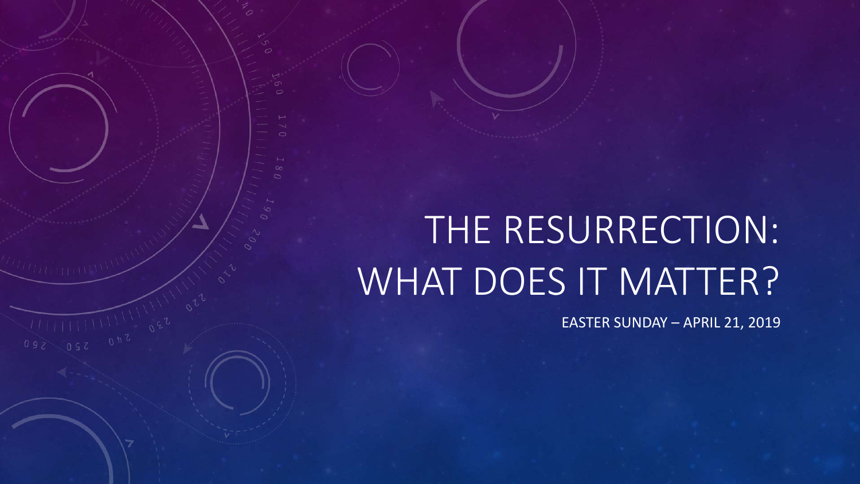# THE RESURRECTION: WHAT DOES IT MATTER?

EASTER SUNDAY – APRIL 21, 2019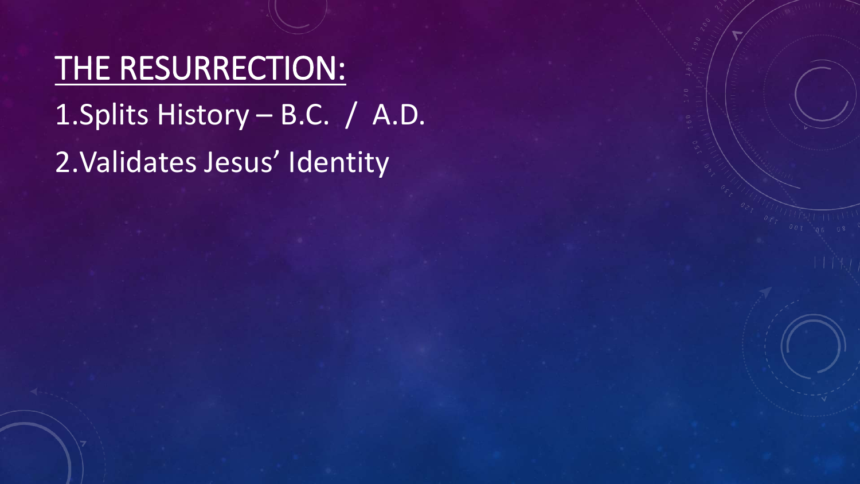THE RESURRECTION: 1.Splits History – B.C. / A.D. 2.Validates Jesus' Identity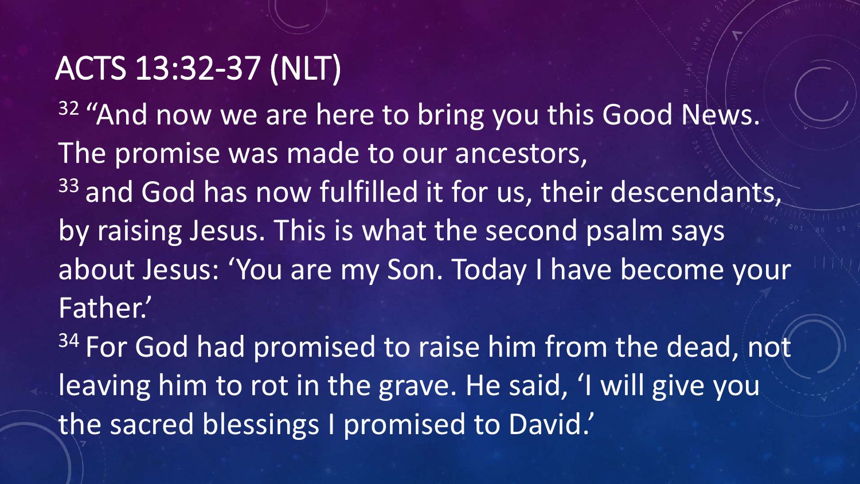#### ACTS 13:32-37 (NLT)

<sup>32</sup> "And now we are here to bring you this Good News. The promise was made to our ancestors, 33 and God has now fulfilled it for us, their descendants, by raising Jesus. This is what the second psalm says about Jesus: 'You are my Son. Today I have become your Father.'

<sup>34</sup> For God had promised to raise him from the dead, not leaving him to rot in the grave. He said, 'I will give you the sacred blessings I promised to David.'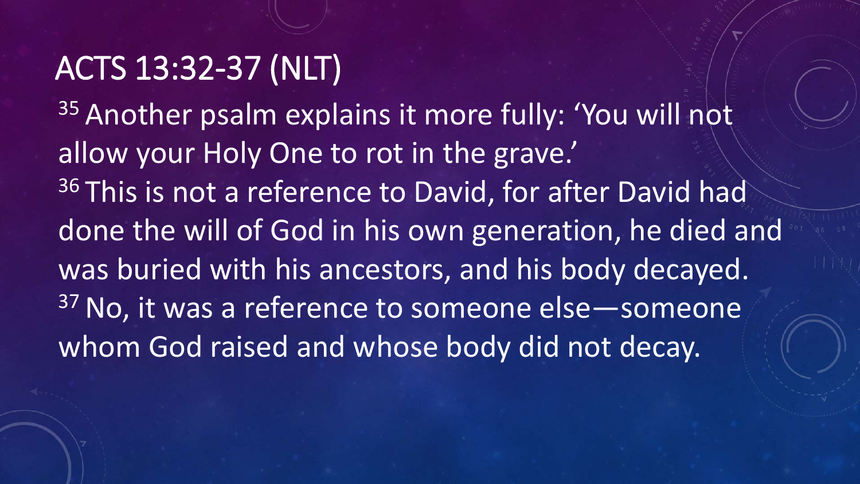#### ACTS 13:32-37 (NLT)

35 Another psalm explains it more fully: 'You will not allow your Holy One to rot in the grave.' 36 This is not a reference to David, for after David had done the will of God in his own generation, he died and was buried with his ancestors, and his body decayed. <sup>37</sup> No, it was a reference to someone else - someone whom God raised and whose body did not decay.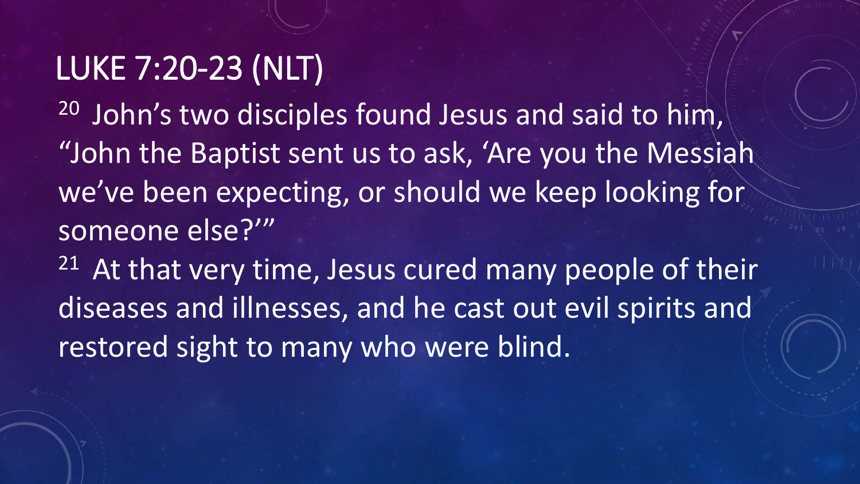#### LUKE 7:20-23 (NLT)

<sup>20</sup> John's two disciples found Jesus and said to him, "John the Baptist sent us to ask, 'Are you the Messiah we've been expecting, or should we keep looking for someone else?'"

 $21$  At that very time, Jesus cured many people of their diseases and illnesses, and he cast out evil spirits and restored sight to many who were blind.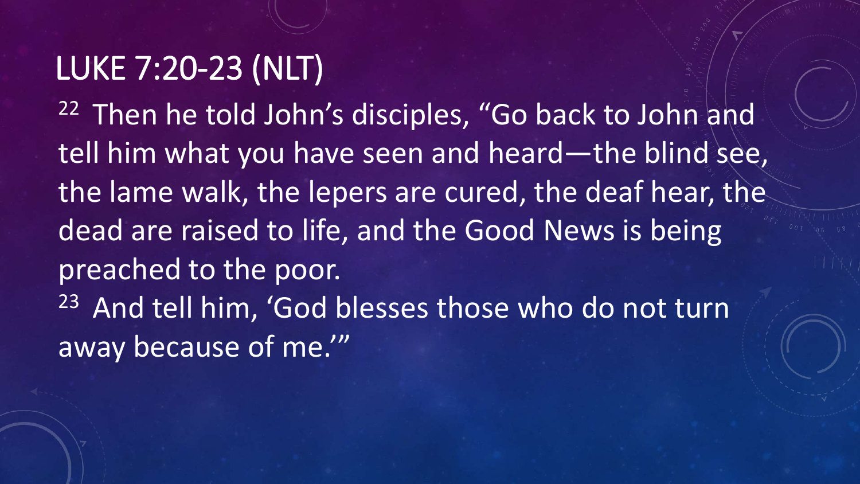#### LUKE 7:20-23 (NLT)

<sup>22</sup> Then he told John's disciples, "Go back to John and tell him what you have seen and heard—the blind see, the lame walk, the lepers are cured, the deaf hear, the dead are raised to life, and the Good News is being preached to the poor. <sup>23</sup> And tell him, 'God blesses those who do not turn away because of me.'"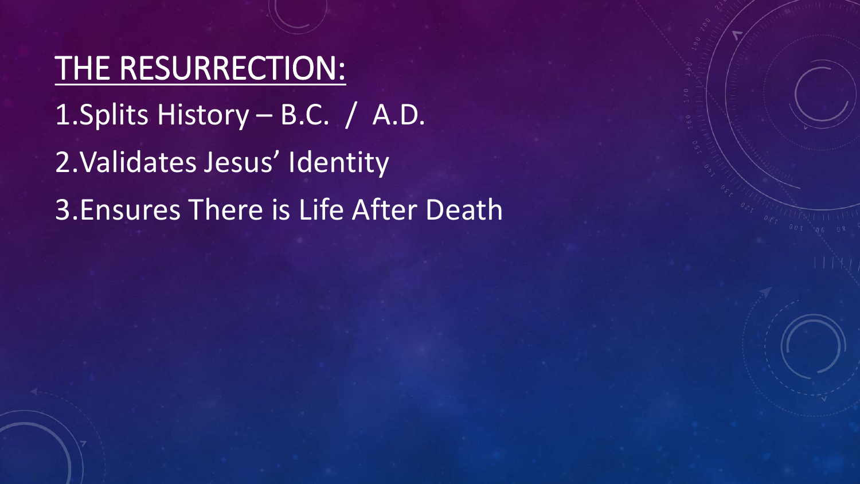THE RESURRECTION: 1.Splits History – B.C. / A.D. 2.Validates Jesus' Identity 3.Ensures There is Life After Death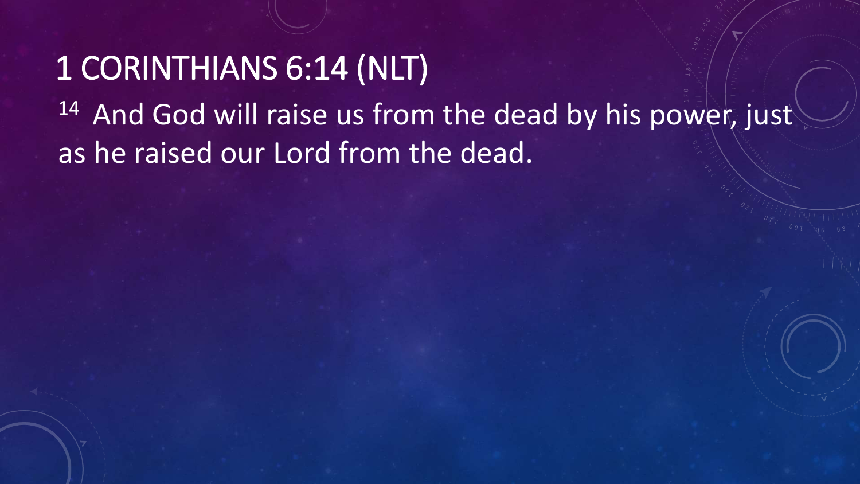## 1 CORINTHIANS 6:14 (NLT) <sup>14</sup> And God will raise us from the dead by his power, just as he raised our Lord from the dead.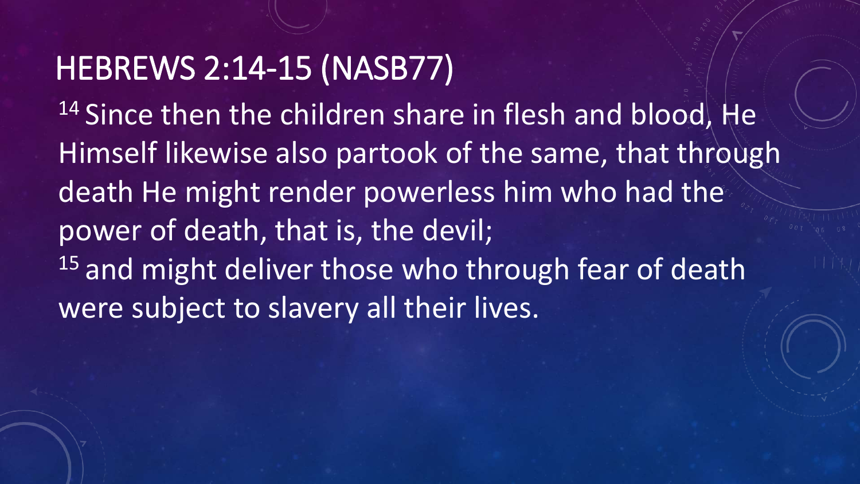#### HEBREWS 2:14-15 (NASB77)

<sup>14</sup> Since then the children share in flesh and blood, He Himself likewise also partook of the same, that through death He might render powerless him who had the power of death, that is, the devil; 15 and might deliver those who through fear of death were subject to slavery all their lives.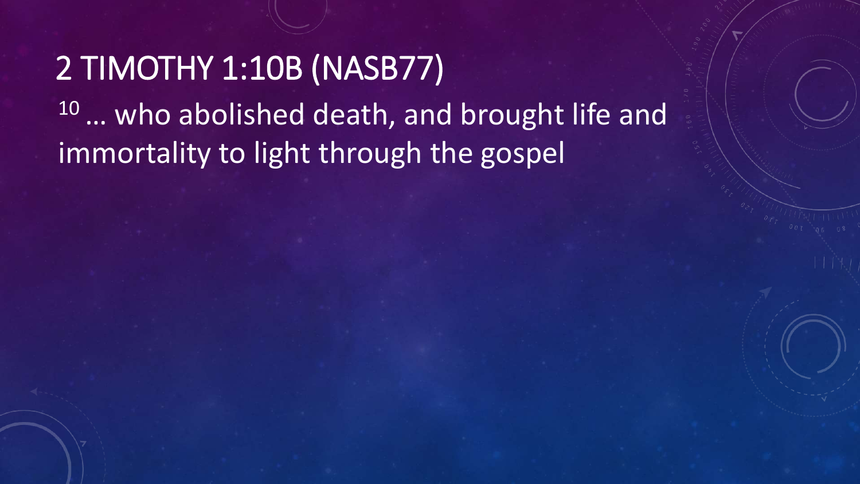2 TIMOTHY 1:10B (NASB77) 10 ... who abolished death, and brought life and immortality to light through the gospel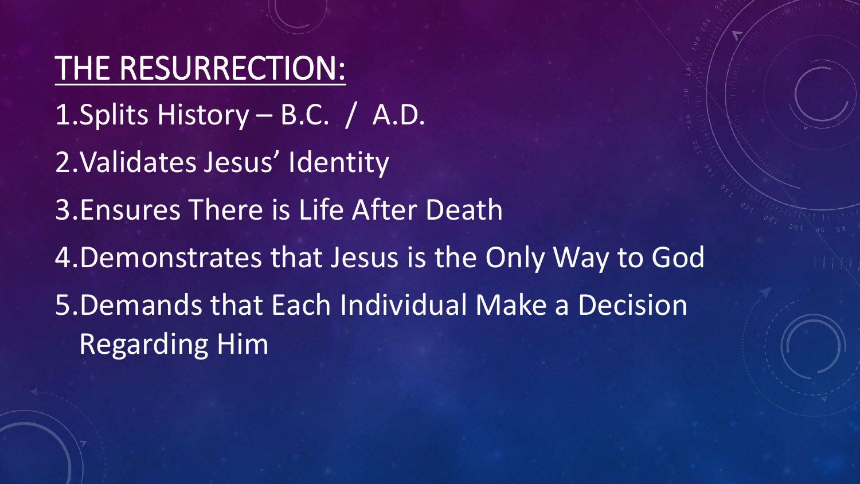THE RESURRECTION: 1.Splits History – B.C. / A.D. 2.Validates Jesus' Identity 3.Ensures There is Life After Death 4.Demonstrates that Jesus is the Only Way to God 5.Demands that Each Individual Make a Decision Regarding Him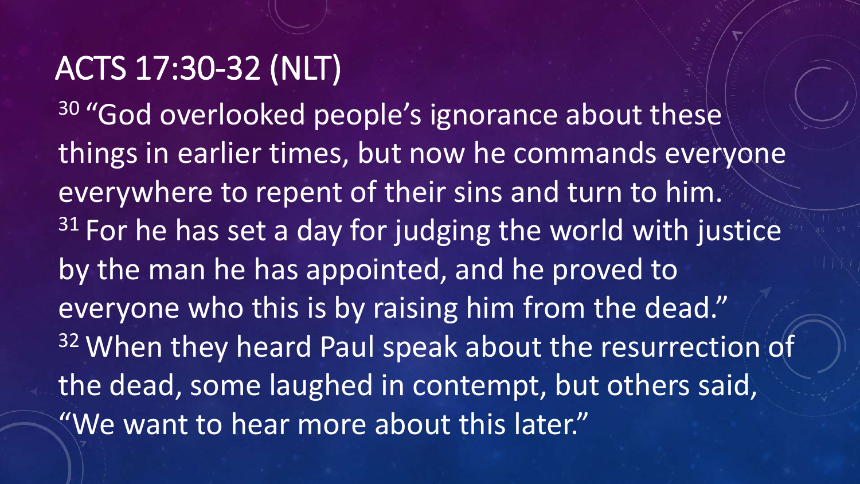### ACTS 17:30-32 (NLT)

<sup>30</sup> "God overlooked people's ignorance about these things in earlier times, but now he commands everyone everywhere to repent of their sins and turn to him.  $31$  For he has set a day for judging the world with justice by the man he has appointed, and he proved to everyone who this is by raising him from the dead." 32 When they heard Paul speak about the resurrection of the dead, some laughed in contempt, but others said, "We want to hear more about this later."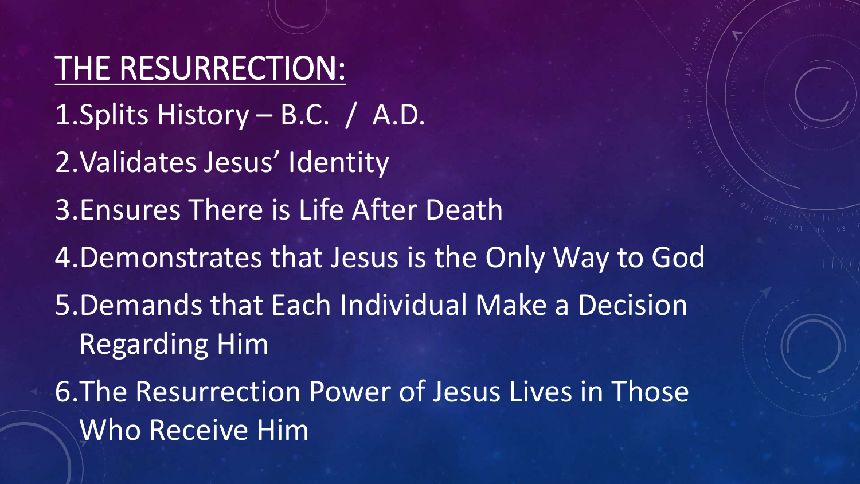THE RESURRECTION: 1.Splits History – B.C. / A.D. 2.Validates Jesus' Identity 3.Ensures There is Life After Death 4.Demonstrates that Jesus is the Only Way to God 5.Demands that Each Individual Make a Decision Regarding Him 6.The Resurrection Power of Jesus Lives in Those Who Receive Him